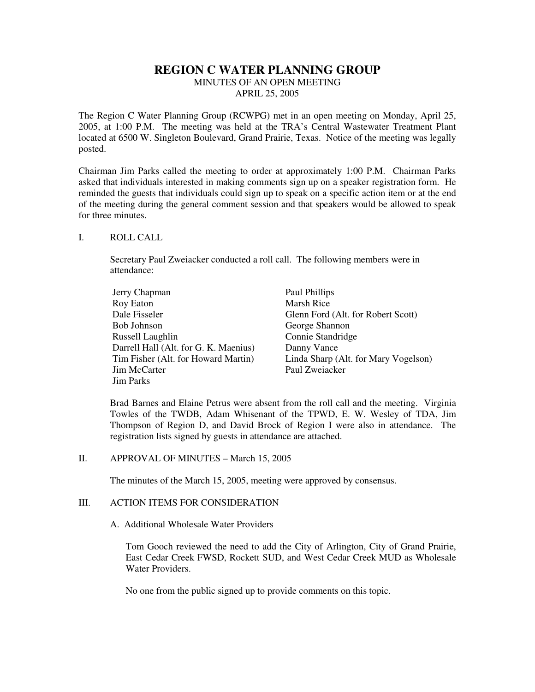# **REGION C WATER PLANNING GROUP**

MINUTES OF AN OPEN MEETING

APRIL 25, 2005

The Region C Water Planning Group (RCWPG) met in an open meeting on Monday, April 25, 2005, at 1:00 P.M. The meeting was held at the TRA's Central Wastewater Treatment Plant located at 6500 W. Singleton Boulevard, Grand Prairie, Texas. Notice of the meeting was legally posted.

Chairman Jim Parks called the meeting to order at approximately 1:00 P.M. Chairman Parks asked that individuals interested in making comments sign up on a speaker registration form. He reminded the guests that individuals could sign up to speak on a specific action item or at the end of the meeting during the general comment session and that speakers would be allowed to speak for three minutes.

### I. ROLL CALL

Secretary Paul Zweiacker conducted a roll call. The following members were in attendance:

| Jerry Chapman                         | Paul Phillips                        |
|---------------------------------------|--------------------------------------|
| Roy Eaton                             | <b>Marsh Rice</b>                    |
| Dale Fisseler                         | Glenn Ford (Alt. for Robert Scott)   |
| Bob Johnson                           | George Shannon                       |
| Russell Laughlin                      | Connie Standridge                    |
| Darrell Hall (Alt. for G. K. Maenius) | Danny Vance                          |
| Tim Fisher (Alt. for Howard Martin)   | Linda Sharp (Alt. for Mary Vogelson) |
| Jim McCarter                          | Paul Zweiacker                       |
| Jim Parks                             |                                      |

Brad Barnes and Elaine Petrus were absent from the roll call and the meeting. Virginia Towles of the TWDB, Adam Whisenant of the TPWD, E. W. Wesley of TDA, Jim Thompson of Region D, and David Brock of Region I were also in attendance. The registration lists signed by guests in attendance are attached.

## II. APPROVAL OF MINUTES – March 15, 2005

The minutes of the March 15, 2005, meeting were approved by consensus.

## III. ACTION ITEMS FOR CONSIDERATION

A. Additional Wholesale Water Providers

Tom Gooch reviewed the need to add the City of Arlington, City of Grand Prairie, East Cedar Creek FWSD, Rockett SUD, and West Cedar Creek MUD as Wholesale Water Providers.

No one from the public signed up to provide comments on this topic.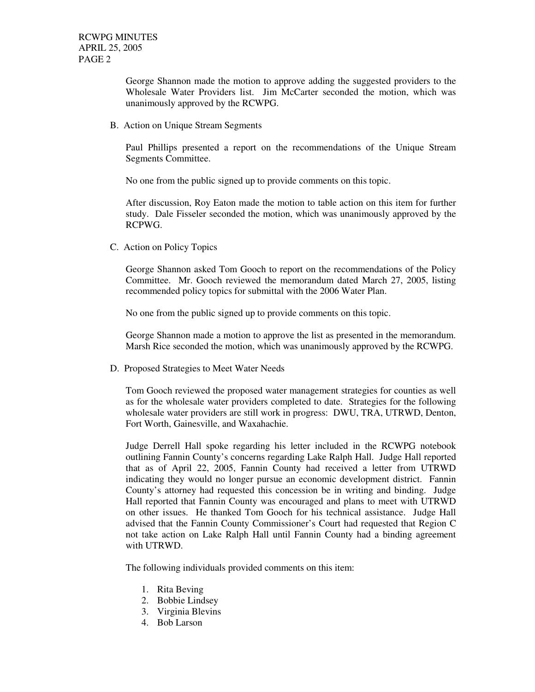George Shannon made the motion to approve adding the suggested providers to the Wholesale Water Providers list. Jim McCarter seconded the motion, which was unanimously approved by the RCWPG.

B. Action on Unique Stream Segments

Paul Phillips presented a report on the recommendations of the Unique Stream Segments Committee.

No one from the public signed up to provide comments on this topic.

After discussion, Roy Eaton made the motion to table action on this item for further study. Dale Fisseler seconded the motion, which was unanimously approved by the RCPWG.

C. Action on Policy Topics

George Shannon asked Tom Gooch to report on the recommendations of the Policy Committee. Mr. Gooch reviewed the memorandum dated March 27, 2005, listing recommended policy topics for submittal with the 2006 Water Plan.

No one from the public signed up to provide comments on this topic.

George Shannon made a motion to approve the list as presented in the memorandum. Marsh Rice seconded the motion, which was unanimously approved by the RCWPG.

D. Proposed Strategies to Meet Water Needs

Tom Gooch reviewed the proposed water management strategies for counties as well as for the wholesale water providers completed to date. Strategies for the following wholesale water providers are still work in progress: DWU, TRA, UTRWD, Denton, Fort Worth, Gainesville, and Waxahachie.

Judge Derrell Hall spoke regarding his letter included in the RCWPG notebook outlining Fannin County's concerns regarding Lake Ralph Hall. Judge Hall reported that as of April 22, 2005, Fannin County had received a letter from UTRWD indicating they would no longer pursue an economic development district. Fannin County's attorney had requested this concession be in writing and binding. Judge Hall reported that Fannin County was encouraged and plans to meet with UTRWD on other issues. He thanked Tom Gooch for his technical assistance. Judge Hall advised that the Fannin County Commissioner's Court had requested that Region C not take action on Lake Ralph Hall until Fannin County had a binding agreement with UTRWD.

The following individuals provided comments on this item:

- 1. Rita Beving
- 2. Bobbie Lindsey
- 3. Virginia Blevins
- 4. Bob Larson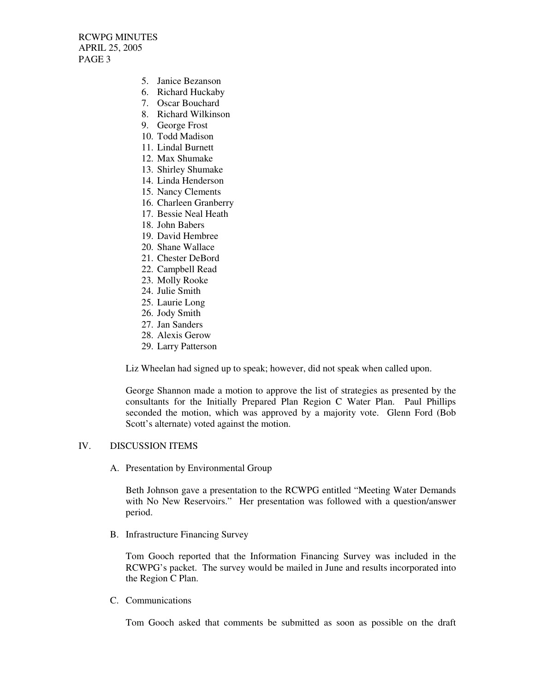RCWPG MINUTES APRIL 25, 2005 PAGE 3

- 5. Janice Bezanson
- 6. Richard Huckaby
- 7. Oscar Bouchard
- 8. Richard Wilkinson
- 9. George Frost
- 10. Todd Madison
- 11. Lindal Burnett
- 12. Max Shumake
- 13. Shirley Shumake
- 14. Linda Henderson
- 15. Nancy Clements
- 16. Charleen Granberry
- 17. Bessie Neal Heath
- 18. John Babers
- 19. David Hembree
- 20. Shane Wallace
- 21. Chester DeBord
- 22. Campbell Read
- 23. Molly Rooke
- 24. Julie Smith
- 25. Laurie Long
- 26. Jody Smith
- 27. Jan Sanders
- 28. Alexis Gerow
- 29. Larry Patterson

Liz Wheelan had signed up to speak; however, did not speak when called upon.

George Shannon made a motion to approve the list of strategies as presented by the consultants for the Initially Prepared Plan Region C Water Plan. Paul Phillips seconded the motion, which was approved by a majority vote. Glenn Ford (Bob Scott's alternate) voted against the motion.

#### IV. DISCUSSION ITEMS

A. Presentation by Environmental Group

Beth Johnson gave a presentation to the RCWPG entitled "Meeting Water Demands with No New Reservoirs." Her presentation was followed with a question/answer period.

B. Infrastructure Financing Survey

Tom Gooch reported that the Information Financing Survey was included in the RCWPG's packet. The survey would be mailed in June and results incorporated into the Region C Plan.

C. Communications

Tom Gooch asked that comments be submitted as soon as possible on the draft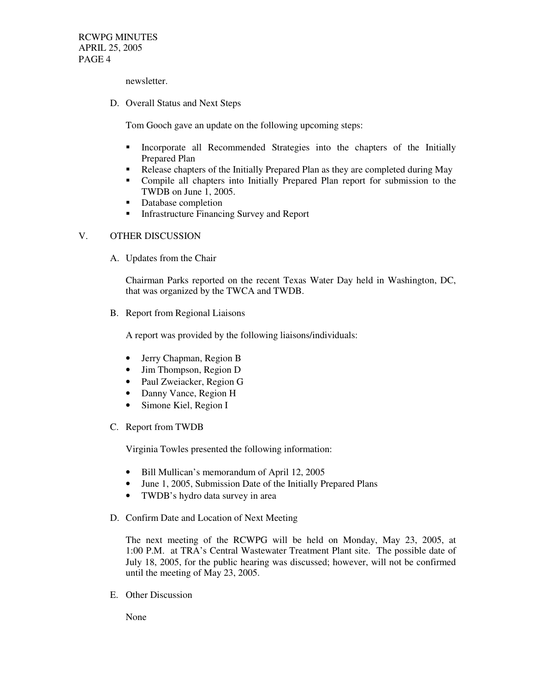RCWPG MINUTES APRIL 25, 2005 PAGE 4

newsletter.

D. Overall Status and Next Steps

Tom Gooch gave an update on the following upcoming steps:

- Incorporate all Recommended Strategies into the chapters of the Initially Prepared Plan
- Release chapters of the Initially Prepared Plan as they are completed during May
- Compile all chapters into Initially Prepared Plan report for submission to the TWDB on June 1, 2005.
- Database completion
- **Infrastructure Financing Survey and Report**

### V. OTHER DISCUSSION

A. Updates from the Chair

Chairman Parks reported on the recent Texas Water Day held in Washington, DC, that was organized by the TWCA and TWDB.

B. Report from Regional Liaisons

A report was provided by the following liaisons/individuals:

- Jerry Chapman, Region B
- Jim Thompson, Region D
- Paul Zweiacker, Region G
- Danny Vance, Region H
- Simone Kiel, Region I
- C. Report from TWDB

Virginia Towles presented the following information:

- Bill Mullican's memorandum of April 12, 2005
- June 1, 2005, Submission Date of the Initially Prepared Plans
- TWDB's hydro data survey in area
- D. Confirm Date and Location of Next Meeting

The next meeting of the RCWPG will be held on Monday, May 23, 2005, at 1:00 P.M. at TRA's Central Wastewater Treatment Plant site. The possible date of July 18, 2005, for the public hearing was discussed; however, will not be confirmed until the meeting of May 23, 2005.

E. Other Discussion

None